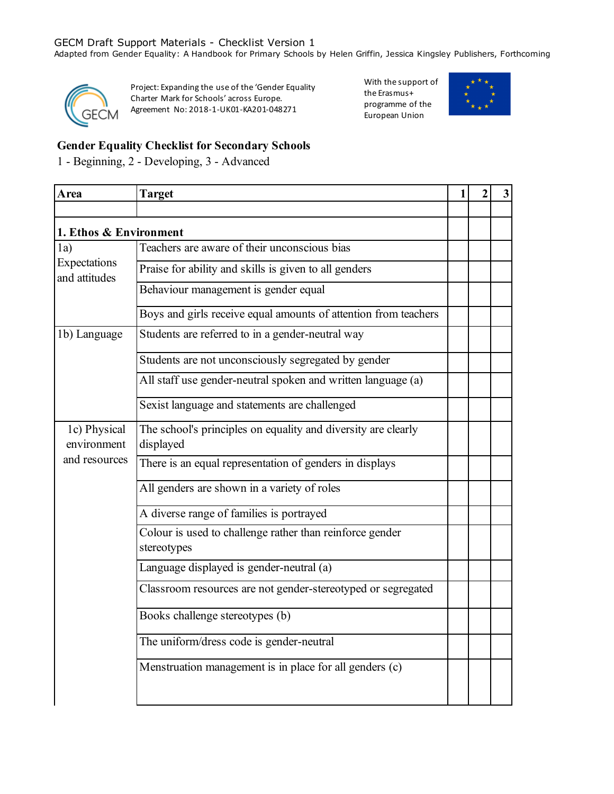Adapted from Gender Equality: A Handbook for Primary Schools by Helen Griffin, Jessica Kingsley Publishers, Forthcoming



Project: Expanding the use of the 'Gender Equality Charter Mark for Schools' across Europe. Agreement No: 2018-1-UK01-KA201-048271

With the support of the Erasmus+ programme of the European Union



# **Gender Equality Checklist for Secondary Schools**

1 - Beginning, 2 - Developing, 3 - Advanced

| Area                          | <b>Target</b>                                                              | 1 | 2 | 3 |
|-------------------------------|----------------------------------------------------------------------------|---|---|---|
|                               |                                                                            |   |   |   |
| 1. Ethos & Environment        |                                                                            |   |   |   |
| 1a)                           | Teachers are aware of their unconscious bias                               |   |   |   |
| Expectations<br>and attitudes | Praise for ability and skills is given to all genders                      |   |   |   |
|                               | Behaviour management is gender equal                                       |   |   |   |
|                               | Boys and girls receive equal amounts of attention from teachers            |   |   |   |
| 1b) Language                  | Students are referred to in a gender-neutral way                           |   |   |   |
|                               | Students are not unconsciously segregated by gender                        |   |   |   |
|                               | All staff use gender-neutral spoken and written language (a)               |   |   |   |
|                               | Sexist language and statements are challenged                              |   |   |   |
| 1c) Physical<br>environment   | The school's principles on equality and diversity are clearly<br>displayed |   |   |   |
| and resources                 | There is an equal representation of genders in displays                    |   |   |   |
|                               | All genders are shown in a variety of roles                                |   |   |   |
|                               | A diverse range of families is portrayed                                   |   |   |   |
|                               | Colour is used to challenge rather than reinforce gender<br>stereotypes    |   |   |   |
|                               | Language displayed is gender-neutral (a)                                   |   |   |   |
|                               | Classroom resources are not gender-stereotyped or segregated               |   |   |   |
|                               | Books challenge stereotypes (b)                                            |   |   |   |
|                               | The uniform/dress code is gender-neutral                                   |   |   |   |
|                               | Menstruation management is in place for all genders (c)                    |   |   |   |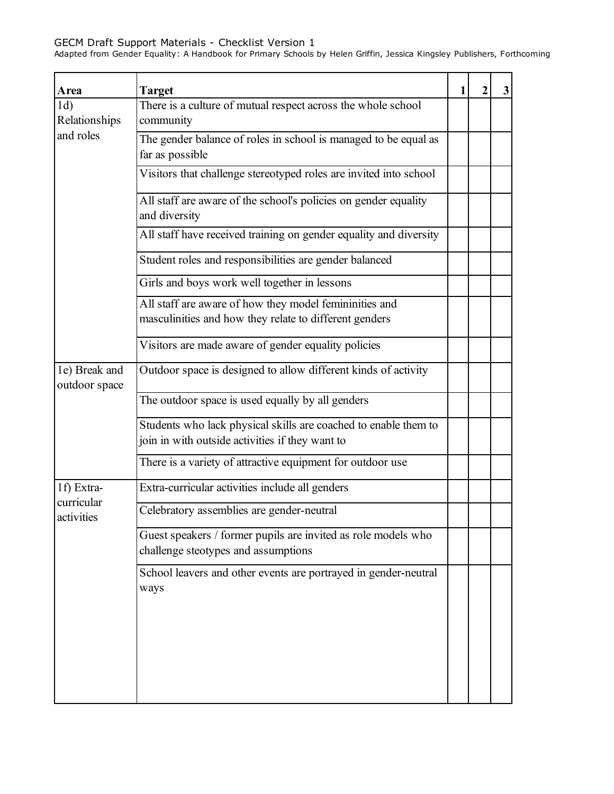| Area                                   | <b>Target</b>                                                                                                      | 1 | 2 | 3 |
|----------------------------------------|--------------------------------------------------------------------------------------------------------------------|---|---|---|
| 1d)<br>Relationships                   | There is a culture of mutual respect across the whole school<br>community                                          |   |   |   |
| and roles                              | The gender balance of roles in school is managed to be equal as<br>far as possible                                 |   |   |   |
|                                        | Visitors that challenge stereotyped roles are invited into school                                                  |   |   |   |
|                                        | All staff are aware of the school's policies on gender equality<br>and diversity                                   |   |   |   |
|                                        | All staff have received training on gender equality and diversity                                                  |   |   |   |
|                                        | Student roles and responsibilities are gender balanced                                                             |   |   |   |
|                                        | Girls and boys work well together in lessons                                                                       |   |   |   |
|                                        | All staff are aware of how they model femininities and<br>masculinities and how they relate to different genders   |   |   |   |
|                                        | Visitors are made aware of gender equality policies                                                                |   |   |   |
| 1e) Break and<br>outdoor space         | Outdoor space is designed to allow different kinds of activity                                                     |   |   |   |
|                                        | The outdoor space is used equally by all genders                                                                   |   |   |   |
|                                        | Students who lack physical skills are coached to enable them to<br>join in with outside activities if they want to |   |   |   |
|                                        | There is a variety of attractive equipment for outdoor use                                                         |   |   |   |
| 1f) Extra-<br>curricular<br>activities | Extra-curricular activities include all genders                                                                    |   |   |   |
|                                        | Celebratory assemblies are gender-neutral                                                                          |   |   |   |
|                                        | Guest speakers / former pupils are invited as role models who<br>challenge steotypes and assumptions               |   |   |   |
|                                        | School leavers and other events are portrayed in gender-neutral<br>ways                                            |   |   |   |
|                                        |                                                                                                                    |   |   |   |
|                                        |                                                                                                                    |   |   |   |
|                                        |                                                                                                                    |   |   |   |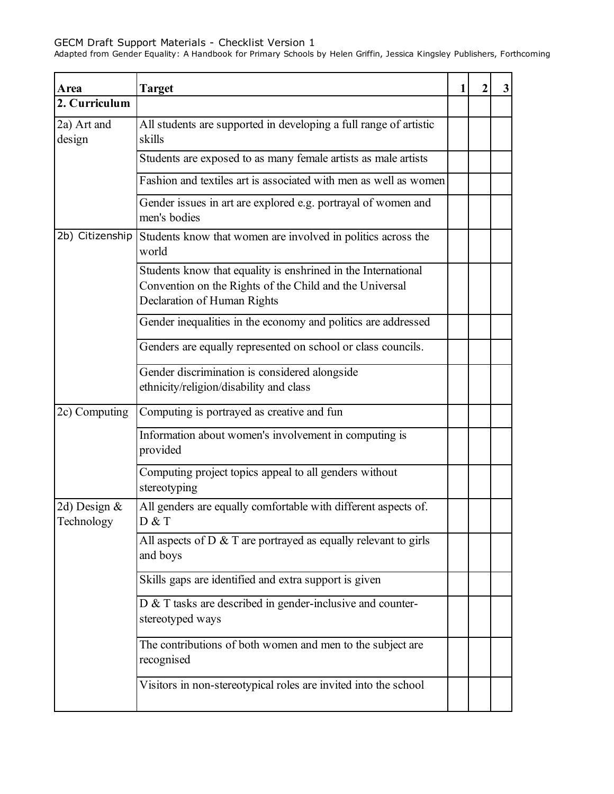| Area                          | <b>Target</b>                                                                                                                                           | 1 | 2 | 3 |
|-------------------------------|---------------------------------------------------------------------------------------------------------------------------------------------------------|---|---|---|
| 2. Curriculum                 |                                                                                                                                                         |   |   |   |
| 2a) Art and<br>design         | All students are supported in developing a full range of artistic<br>skills                                                                             |   |   |   |
|                               | Students are exposed to as many female artists as male artists                                                                                          |   |   |   |
|                               | Fashion and textiles art is associated with men as well as women                                                                                        |   |   |   |
|                               | Gender issues in art are explored e.g. portrayal of women and<br>men's bodies                                                                           |   |   |   |
| 2b) Citizenship               | Students know that women are involved in politics across the<br>world                                                                                   |   |   |   |
|                               | Students know that equality is enshrined in the International<br>Convention on the Rights of the Child and the Universal<br>Declaration of Human Rights |   |   |   |
|                               | Gender inequalities in the economy and politics are addressed                                                                                           |   |   |   |
|                               | Genders are equally represented on school or class councils.                                                                                            |   |   |   |
|                               | Gender discrimination is considered alongside<br>ethnicity/religion/disability and class                                                                |   |   |   |
| 2c) Computing                 | Computing is portrayed as creative and fun                                                                                                              |   |   |   |
|                               | Information about women's involvement in computing is<br>provided                                                                                       |   |   |   |
|                               | Computing project topics appeal to all genders without<br>stereotyping                                                                                  |   |   |   |
| 2d) Design $\&$<br>Technology | All genders are equally comfortable with different aspects of.<br>D & T                                                                                 |   |   |   |
|                               | All aspects of $D$ & $T$ are portrayed as equally relevant to girls<br>and boys                                                                         |   |   |   |
|                               | Skills gaps are identified and extra support is given                                                                                                   |   |   |   |
|                               | D & T tasks are described in gender-inclusive and counter-<br>stereotyped ways                                                                          |   |   |   |
|                               | The contributions of both women and men to the subject are<br>recognised                                                                                |   |   |   |
|                               | Visitors in non-stereotypical roles are invited into the school                                                                                         |   |   |   |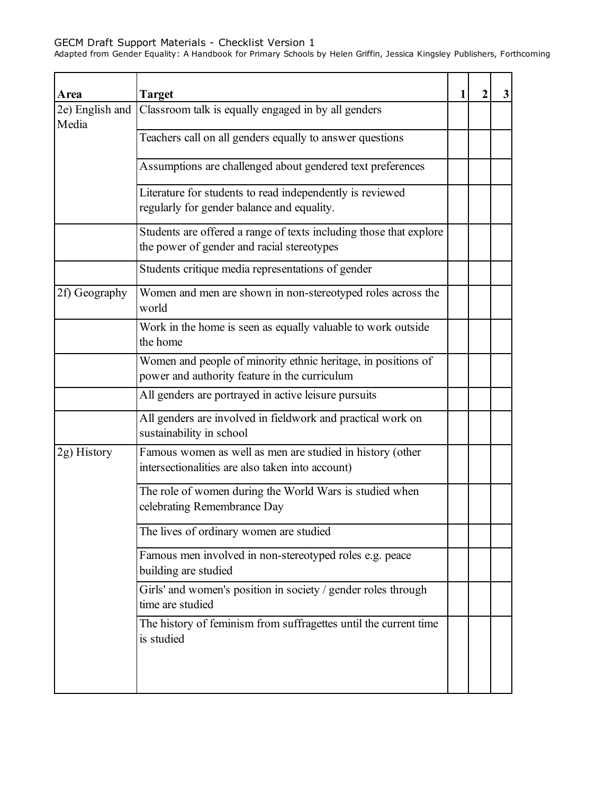| Area                     | <b>Target</b>                                                                                                    | $\mathbf{1}$ | $\mathbf 2$ | 3 |
|--------------------------|------------------------------------------------------------------------------------------------------------------|--------------|-------------|---|
| 2e) English and<br>Media | Classroom talk is equally engaged in by all genders                                                              |              |             |   |
|                          | Teachers call on all genders equally to answer questions                                                         |              |             |   |
|                          | Assumptions are challenged about gendered text preferences                                                       |              |             |   |
|                          | Literature for students to read independently is reviewed<br>regularly for gender balance and equality.          |              |             |   |
|                          | Students are offered a range of texts including those that explore<br>the power of gender and racial stereotypes |              |             |   |
|                          | Students critique media representations of gender                                                                |              |             |   |
| 2f) Geography            | Women and men are shown in non-stereotyped roles across the<br>world                                             |              |             |   |
|                          | Work in the home is seen as equally valuable to work outside<br>the home                                         |              |             |   |
|                          | Women and people of minority ethnic heritage, in positions of<br>power and authority feature in the curriculum   |              |             |   |
|                          | All genders are portrayed in active leisure pursuits                                                             |              |             |   |
|                          | All genders are involved in fieldwork and practical work on<br>sustainability in school                          |              |             |   |
| 2g) History              | Famous women as well as men are studied in history (other<br>intersectionalities are also taken into account)    |              |             |   |
|                          | The role of women during the World Wars is studied when<br>celebrating Remembrance Day                           |              |             |   |
|                          | The lives of ordinary women are studied                                                                          |              |             |   |
|                          | Famous men involved in non-stereotyped roles e.g. peace<br>building are studied                                  |              |             |   |
|                          | Girls' and women's position in society / gender roles through<br>time are studied                                |              |             |   |
|                          | The history of feminism from suffragettes until the current time<br>is studied                                   |              |             |   |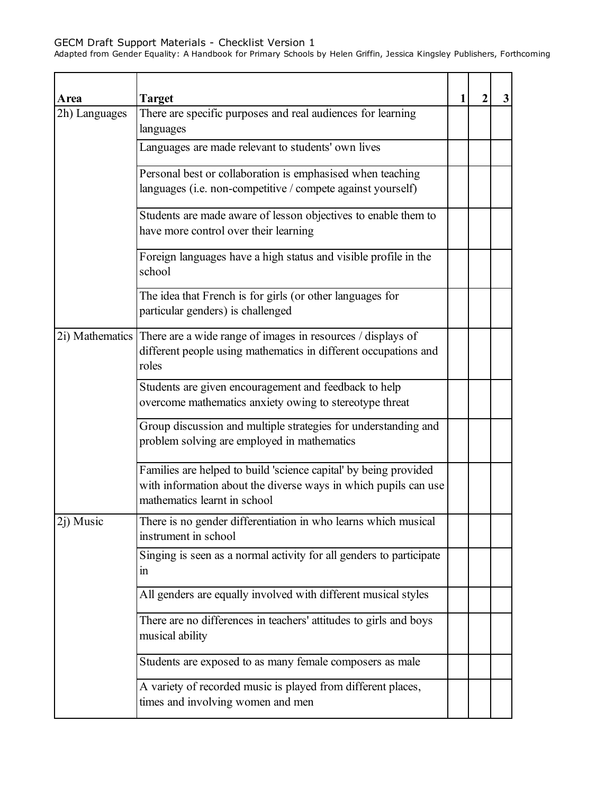| Area          | <b>Target</b>                                                                                                                                                       | 1 | 3 |
|---------------|---------------------------------------------------------------------------------------------------------------------------------------------------------------------|---|---|
| 2h) Languages | There are specific purposes and real audiences for learning<br>languages                                                                                            |   |   |
|               | Languages are made relevant to students' own lives                                                                                                                  |   |   |
|               | Personal best or collaboration is emphasised when teaching                                                                                                          |   |   |
|               | languages (i.e. non-competitive / compete against yourself)                                                                                                         |   |   |
|               | Students are made aware of lesson objectives to enable them to<br>have more control over their learning                                                             |   |   |
|               | Foreign languages have a high status and visible profile in the<br>school                                                                                           |   |   |
|               | The idea that French is for girls (or other languages for<br>particular genders) is challenged                                                                      |   |   |
|               | 2i) Mathematics There are a wide range of images in resources / displays of<br>different people using mathematics in different occupations and<br>roles             |   |   |
|               | Students are given encouragement and feedback to help<br>overcome mathematics anxiety owing to stereotype threat                                                    |   |   |
|               | Group discussion and multiple strategies for understanding and<br>problem solving are employed in mathematics                                                       |   |   |
|               | Families are helped to build 'science capital' by being provided<br>with information about the diverse ways in which pupils can use<br>mathematics learnt in school |   |   |
| 2j) Music     | There is no gender differentiation in who learns which musical<br>instrument in school                                                                              |   |   |
|               | Singing is seen as a normal activity for all genders to participate<br>1n                                                                                           |   |   |
|               | All genders are equally involved with different musical styles                                                                                                      |   |   |
|               | There are no differences in teachers' attitudes to girls and boys<br>musical ability                                                                                |   |   |
|               | Students are exposed to as many female composers as male                                                                                                            |   |   |
|               | A variety of recorded music is played from different places,<br>times and involving women and men                                                                   |   |   |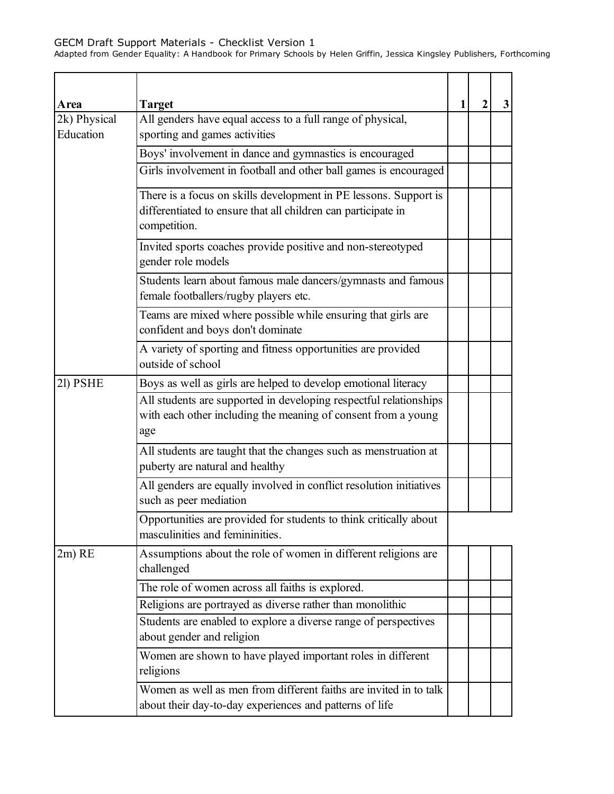| Area                      | Target                                                                                                                                            | 1 | 2 | 3 |
|---------------------------|---------------------------------------------------------------------------------------------------------------------------------------------------|---|---|---|
| 2k) Physical<br>Education | All genders have equal access to a full range of physical,<br>sporting and games activities                                                       |   |   |   |
|                           | Boys' involvement in dance and gymnastics is encouraged                                                                                           |   |   |   |
|                           | Girls involvement in football and other ball games is encouraged                                                                                  |   |   |   |
|                           | There is a focus on skills development in PE lessons. Support is<br>differentiated to ensure that all children can participate in<br>competition. |   |   |   |
|                           | Invited sports coaches provide positive and non-stereotyped<br>gender role models                                                                 |   |   |   |
|                           | Students learn about famous male dancers/gymnasts and famous<br>female footballers/rugby players etc.                                             |   |   |   |
|                           | Teams are mixed where possible while ensuring that girls are<br>confident and boys don't dominate                                                 |   |   |   |
|                           | A variety of sporting and fitness opportunities are provided<br>outside of school                                                                 |   |   |   |
| 21) PSHE                  | Boys as well as girls are helped to develop emotional literacy                                                                                    |   |   |   |
|                           | All students are supported in developing respectful relationships<br>with each other including the meaning of consent from a young<br>age         |   |   |   |
|                           | All students are taught that the changes such as menstruation at<br>puberty are natural and healthy                                               |   |   |   |
|                           | All genders are equally involved in conflict resolution initiatives<br>such as peer mediation                                                     |   |   |   |
|                           | Opportunities are provided for students to think critically about<br>masculinities and femininities.                                              |   |   |   |
| $2m)$ RE                  | Assumptions about the role of women in different religions are<br>challenged                                                                      |   |   |   |
|                           | The role of women across all faiths is explored.                                                                                                  |   |   |   |
|                           | Religions are portrayed as diverse rather than monolithic                                                                                         |   |   |   |
|                           | Students are enabled to explore a diverse range of perspectives<br>about gender and religion                                                      |   |   |   |
|                           | Women are shown to have played important roles in different<br>religions                                                                          |   |   |   |
|                           | Women as well as men from different faiths are invited in to talk<br>about their day-to-day experiences and patterns of life                      |   |   |   |